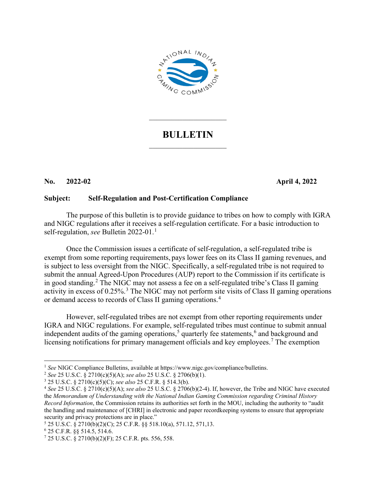

## **BULLETIN**  $\mathcal{L}_\text{max}$  , where  $\mathcal{L}_\text{max}$

 $\overline{\phantom{a}}$  . The set of the set of the set of the set of the set of the set of the set of the set of the set of the set of the set of the set of the set of the set of the set of the set of the set of the set of the set o

## **No. 2022-02 April 4, 2022**

## **Subject: Self-Regulation and Post-Certification Compliance**

The purpose of this bulletin is to provide guidance to tribes on how to comply with IGRA and NIGC regulations after it receives a self-regulation certificate. For a basic introduction to self-regulation, *see* Bulletin 2022-01. [1](#page-0-0)

Once the Commission issues a certificate of self-regulation, a self-regulated tribe is exempt from some reporting requirements, pays lower fees on its Class II gaming revenues, and is subject to less oversight from the NIGC. Specifically, a self-regulated tribe is not required to submit the annual Agreed-Upon Procedures (AUP) report to the Commission if its certificate is in good standing.<sup>[2](#page-0-1)</sup> The NIGC may not assess a fee on a self-regulated tribe's Class II gaming activity in excess of  $0.25\%$ <sup>[3](#page-0-2)</sup>. The NIGC may not perform site visits of Class II gaming operations or demand access to records of Class II gaming operations.[4](#page-0-3)

However, self-regulated tribes are not exempt from other reporting requirements under IGRA and NIGC regulations. For example, self-regulated tribes must continue to submit annual independent audits of the gaming operations,<sup>[5](#page-0-4)</sup> quarterly fee statements,<sup>[6](#page-0-5)</sup> and background and licensing notifications for primary management officials and key employees.<sup>[7](#page-0-6)</sup> The exemption

<span id="page-0-0"></span><sup>1</sup> *See* NIGC Compliance Bulletins, available at https://www.nigc.gov/compliance/bulletins. 2 *See* 25 U.S.C. § 2710(c)(5)(A); *see also* 25 U.S.C. § 2706(b)(1).

<span id="page-0-2"></span><span id="page-0-1"></span><sup>3</sup> 25 U.S.C. § 2710(c)(5)(C); *see also* 25 C.F.R. § 514.3(b).

<span id="page-0-3"></span><sup>4</sup> *See* 25 U.S.C. § 2710(c)(5)(A); *see also* 25 U.S.C. § 2706(b)(2-4). If, however, the Tribe and NIGC have executed the *Memorandum of Understanding with the National Indian Gaming Commission regarding Criminal History Record Information*, the Commission retains its authorities set forth in the MOU, including the authority to "audit the handling and maintenance of [CHRI] in electronic and paper recordkeeping systems to ensure that appropriate security and privacy protections are in place."

<span id="page-0-4"></span><sup>5</sup> 25 U.S.C. § 2710(b)(2)(C); 25 C.F.R. §§ 518.10(a), 571.12, 571,13.

<span id="page-0-5"></span><sup>6</sup> 25 C.F.R. §§ 514.5, 514.6.

<span id="page-0-6"></span><sup>7</sup> 25 U.S.C. § 2710(b)(2)(F); 25 C.F.R. pts. 556, 558.